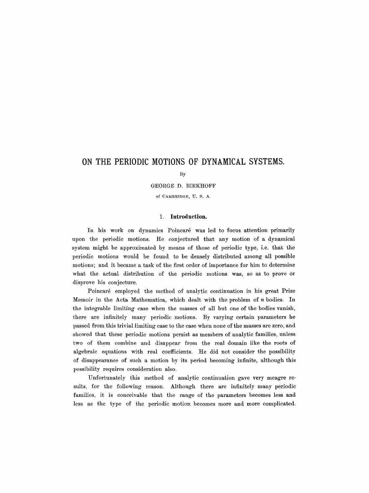# **ON THE PERIODIC MOTIONS OF DYNAMICAL SYSTEMS.**

By

GEORGE D. BIRKHOFF

of CAMBRIDGE, U. S. A.

## **1. Introduction.**

In his work on dynamics Poincaré was led to focus attention primarily upon the periodic motions. He conjectured that any motion of a dynamical system might be approximated by means of those of periodic type, i.e. that the periodic motions would be found to be densely distributed among all possible motions; and it became a task of the first order of importance for him to determine what the actual distribution of the periodic motions was, so as to prove or disprove his conjecture.

Poincar6 employed the method of analytic continuation in his great Prize Memoir in the Acta Mathematica, which dealt with the problem of n bodies. In the integrable limiting case when the masses of all but one of the bodies vanish, there are infinitely many periodic motions: By varying certain parameters he passed from this trivial limiting case to the case when none of the masses are zero, and showed that these periodic motions persist as members of analytic families, unless two of them combine and disappear from the real domain like the roots of algebraic equations with real coefficients. He did not consider the possibility of disappearance of such a motion by its period becoming infinite, although this possibility requires consideration also.

Unfortunately this method of analytic continuation gave very meagre results, for the following reason. Although there are infinitely many periodic families, it is conceivable that the range of the parameters becomes less and less as the type of the periodic motion becomes more and more complicated.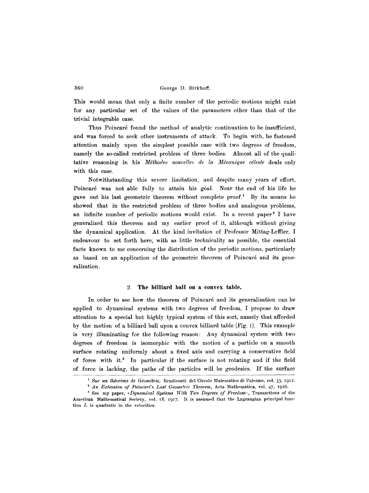This would mean that only a finite number of the periodic motions might exist for any particular set of the values of the parameters other than that of the trivial integrable case.

Thus Poincaré found the method of analytic continuation to be insufficient, and was forced to seek other instruments of attack. To begin with, he fastened attention mainly upon the simplest possible case with two degrees of freedom, namely the so-called restricted problem of three bodies. Ahnost all of the qualitative reasoning in his *Méthodes nouvelles de la Mécanique céleste* deals only with this case.

Notwithstanding this severe limitation, and despite many years of effort, Poincaré was not able fully to attain his goal. Near the end of his life he gave out his last geometric theorem without complete proof.<sup>1</sup> By its means he showed that in the restricted problem of three bodies and analogous problems, an infinite number of periodic motions would exist. In a recent paper<sup>2</sup> I have generalized this theorem and my earlier proof of it, although without giving the dynamical application. At the kind invitation of Professor Mittag-Leffler, I endeavour to set forth here, with as little technicality as possible, the essential facts known to me concerning the distribution of the periodic motions, particularly as based on an application of the geometric theorem of Poincaré and its generalization.

#### 2. The **billiard ball on** a convex table.

In order to see how the theorem of Poincaré and its generalization can be applied to dynamical systems with two degrees of freedom, I propose to draw attention to a special but highly typical system of this sort, namely that afforded by the motion of a billiard ball upon a convex billiard table (Fig. I). This example is very illuminating for the following reason: Any dynamical system with two degrees of freedom is isomorphic with the motion of a particle on a smooth surface rotating uniformly about a fixed axis and carrying a conservative field of force with it.<sup>3</sup> In particular if the surface is not rotating and if the field of force is lacking, the paths of the particles will be geodesics. If the surface

<sup>&</sup>lt;sup>1</sup> Sur un théorème de Géométrie, Rendiconti del Circolo Matematico di Palermo, vol. 33, 1912.

<sup>&</sup>lt;sup>2</sup> An Extension of Poincaré's Last Geometric Theorem, Acta Mathematica, vol. 47, 1926.

<sup>&</sup>lt;sup>3</sup> See my paper, *»Dynamical Systems With Two Degrees of Freedom»*, Transactions of the American Mathematical Society, vol. 18, 1917. It is assumed that the Lagrangian principal function  $L$  is quadratic in the velocities.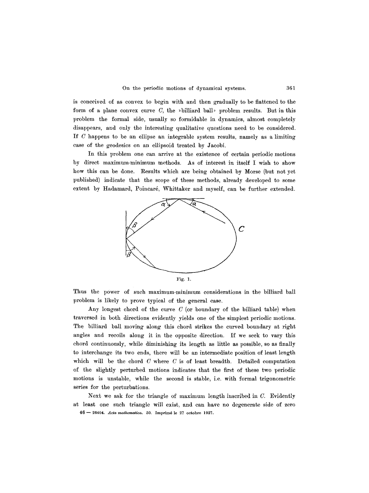is conceived of as convex to begin with and then gradually to be flattened to the form of a plane convex curve  $C$ , the »billiard ball» problem results. But in this problem the formal side, usually so formidable in dynamics, almost completely disappears, and only the interesting qualitative questions need to be considered. If C happens to be an ellipse an integrable system results, namely as a limiting case of the geodesics on an ellipsoid treated by Jacobi.

In this problem one can arrive at the existence of certain periodic motions by direct maximum-minimum methods. As of interest in itself I wish to show how this can be done. Results which are being obtained by Morse (but not yet published) indicate that the scope of these methods, already developed to some extent by Hadamard, Poincaré, Whittaker and myself, can be further extended.



Thus the power of such maximum-minimum considerations in the billiard ball problem is likely to prove typical of the general case.

Any longest chord of the curve  $C$  (or boundary of the billiard table) when traversed in both directions evidently yields one of the simplest periodic motions. The billiard ball moving along this chord strikes the curved boundary at right angles and recoils along it in the opposite direction. If we seek to vary this chord continuously, while diminishing its length as little as possible, so as finally to interchange its two ends, there will be an intermediate position of least length which will be the chord  $C$  where  $C$  is of least breadth. Detailed computation of the slightly perturbed motions indicates that the first of these two periodic motions is unstable, while the second is stable, i.e. with formal trigonometric series for the perturbations.

Next we ask for the triangle of maximum length inscribed in C. Evidently at least one such triangle will exist, and can have no degenerate side of zero 46 - 26404. *Acta mathematica.* 50. Imprimé le 27 octobre 1927.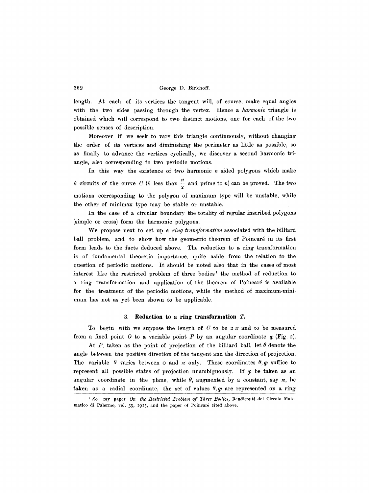length. At each of its vertices the tangent will, of course, make equal angles with the two sides passing through the vertex. Hence a *harmonic* triangle is obtained which will correspond to two distinct motions, one for each of the two possible senses of description.

Moreover if we seek to vary this triangle continuously, without changing the order of its vertices and diminishing the perimeter as little as possible, so as finally to advance the vertices cyclically, we discover a second harmonic triangle, also corresponding to two periodic motions.

In this way the existence of two harmonic  $n$  sided polygons which make k circuits of the curve C (k less than  $\frac{1}{2}$  and prime to n) can be proved. The two motions corresponding to the polygon of maximum type will be unstable, while the other of minimax type may be stable or unstable.

In the case of a circular boundary the totality of regular inscribed polygons (simple or cross) form the harmonic polygons.

We propose next to set up a *ring transformation* associated with the billiard ball problem, and to show how the geometric theorem of Poincaré in its first form leads to the facts deduced above. The reduction to a ring transformation is of fundamental theoretic importance, quite aside from the relation to the question of periodic motions. It should be noted also that in the cases of most interest like the restricted problem of three bodies<sup>1</sup> the method of reduction to a ring transformation and application of the theorem of Poincaré is available for the treatment of the periodic motions, while the method of maximum-minimum has not as yet been shown to be applicable.

### **3. Reduction to a ring transformation T.**

To begin with we suppose the length of C to be  $2\pi$  and to be measured from a fixed point O to a variable point P by an angular coordinate  $\varphi$  (Fig. 2).

At P, taken as the point of projection of the billiard ball, let  $\theta$  denote the angle between the positive direction of the tangent and the direction of projection. The variable  $\theta$  varies between o and  $\pi$  only. These coordinates  $\theta$ ,  $\varphi$  suffice to represent all possible states of projection unambiguously. If  $\varphi$  be taken as an angular coordinate in the plane, while  $\theta$ , augmented by a constant, say  $\pi$ , be taken as a radial coordinate, the set of values  $\theta$ ,  $\varphi$  are represented on a ring

<sup>1</sup> See my paper *On the Restricted \_Problem of Three Bodies,* Rendiconti del Circolo Matematico di Palermo, vol. 39, 1915, and the paper of Poincaré cited above.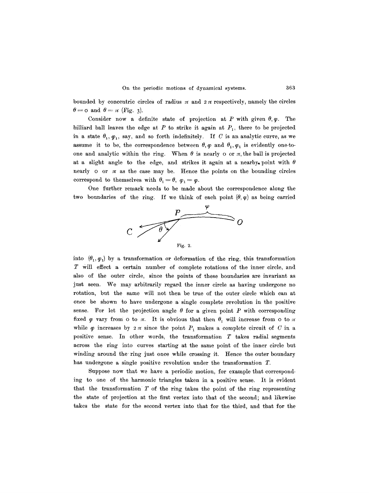bounded by concentric circles of radius  $\pi$  and  $2\pi$  respectively, namely the circles  $\theta = \infty$  and  $\theta = \pi$  (Fig. 3).

Consider now a definite state of projection at P with given  $\theta, \varphi$ . The billiard ball leaves the edge at  $P$  to strike it again at  $P_1$ , there to be projected in a state  $\theta_1$ ,  $\varphi_1$ , say, and so forth indefinitely. If C is an analytic curve, as we assume it to be, the correspondence between  $\theta$ ,  $\varphi$  and  $\theta_1$ ,  $\varphi_1$  is evidently one-toone and analytic within the ring. When  $\theta$  is nearly  $\circ$  or  $\pi$ , the ball is projected at a slight angle to the edge, and strikes it again at a nearby, point with  $\theta$ nearly o or  $\pi$  as the case may be. Hence the points on the bounding circles correspond to themselves with  $\theta_1 = \theta$ ,  $\varphi_1 = \varphi$ .

One further remark needs to be made about the correspondence along the two boundaries of the ring. If we think of each point  $(\theta, \varphi)$  as being carried



into  $(\theta_1, \varphi_1)$  by a transformation or deformation of the ring, this transformation  $T$  will effect a certain number of complete rotations of the inner circle, and also of the outer circle, since the points of these boundaries are invariant as just seen. We may arbitrarily regard the inner circle as having undergone no rotation, but the same will not then be true of the outer circle which can at once be shown to have undergone a single complete revolution in the positive sense. For let the projection angle  $\theta$  for a given point P with corresponding fixed  $\varphi$  vary from o to  $\pi$ . It is obvious that then  $\theta_1$  will increase from o to  $\pi$ while  $\varphi$  increases by  $2 \pi$  since the point  $P_1$  makes a complete circuit of C in a positive sense. In other words, the transformation T takes radial segments across the ring into curves starting at the same point of the inner circle but winding around the ring just once while crossing it. Hence the outer boundary has undergone a single positive revolution under the transformation T.

Suppose now that we have a periodic motion, for example that corresponding to one of the harmonic triangles taken in a positive sense. It is evident that the transformation  $T$  of the ring takes the point of the ring representing the state of projection at the first vertex into that of the second; and likewise takes the state for the second vertex into that for the third, and that for the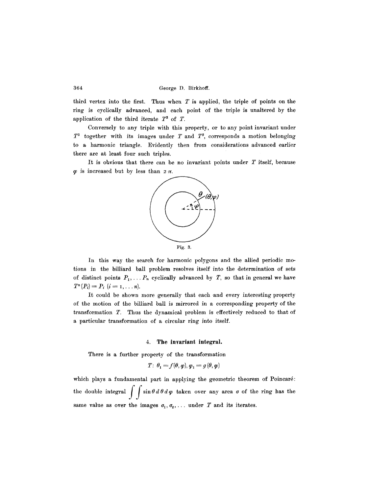third vertex into the first. Thus when  $T$  is applied, the triple of points on the ring is cyclically advanced, and each point of the triple is unaltered by the application of the third iterate  $T^3$  of  $T$ .

Conversely to any triple with this property, or to any point invariant under  $T^*$  together with its images under  $T$  and  $T^*$ , corresponds a motion belonging to a harmonic triangle. Evidently then from considerations advanced earlier there are at least four such triples.

It is obvious that there can be no invariant points under  $T$  itself, because  $\varphi$  is increased but by less than  $2 \pi$ .



In this way the search for harmonic polygons and the allied periodic motions in the billiard ball problem resolves itself into the determination of sets of distinct points  $P_1, \ldots, P_n$  cyclically advanced by T, so that in general we have  $T^n(P_i) = P_i$   $(i = 1, \ldots n).$ 

It could be shown more generally that each and every interesting property of the motion of the billiard ball is mirrored in a corresponding property of the transformation T. Thus the dynamical problem is effectively reduced to that of a particular transformation of a circular ring into itself.

## 4. The invariant integral.

There is a further property of the transformation

$$
T: \theta_1 = f(\theta, \varphi), \varphi_1 = g(\theta, \varphi)
$$

which plays a fundamental part in applying the geometric theorem of Poincaré: the double integral  $\iint \sin\theta d\theta d\varphi$  taken over any area  $\sigma$  of the ring has the same value as over the images  $\sigma_1, \sigma_2, \ldots$  under T and its iterates.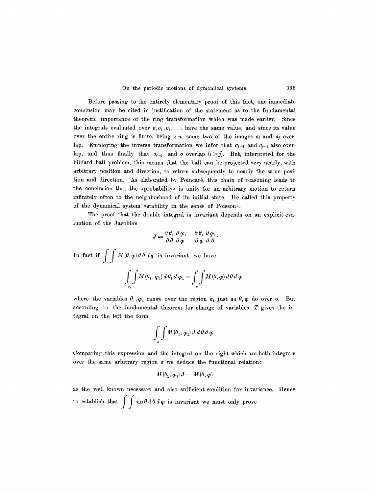Before passing to the entirely elementary proof of this fact, one immediate conclusion may be cited in justification of the statement as to the fundamental theoretic importance of the ring transformation which was made earlier. Since the integrals evaluated over  $\sigma, \sigma_1, \sigma_2, \ldots$  have the same value, and since its value over the entire ring is finite, being  $4\pi$ , some two of the images  $\sigma_i$  and  $\sigma_j$  overlap. Employing the inverse transformation we infer that  $\sigma_{l-1}$  and  $\sigma_{j-1}$  also overlap, and thus finally that  $\sigma_{i-j}$  and  $\sigma$  overlap  $(i > j)$ . But, interpreted for the billiard ball problem, this means that the bali can be projected very nearly, with arbitrary position and direction, to return subsequently to nearly the same position and direction. As elaborated by Poincaré, this chain of reasoning leads to the conclusion that the  $\rightarrow$  probability $\rightarrow$  is unity for an arbitrary motion to return infinitely often to the neighborhood of its initial state. He called this property of the dynamical system »stability in the sense of Poisson».

The proof that the double integral is invariant depends on an explicit evaluation of the Jacobian

$$
J = \frac{\partial \theta_1}{\partial \theta} \frac{\partial \varphi_1}{\partial \varphi} - \frac{\partial \theta_1}{\partial \varphi} \frac{\partial \varphi_1}{\partial \theta}.
$$

In fact if  $\int \int M(\theta,\varphi)d\theta d\varphi$  is invariant, we have

$$
\int_{\sigma_1}\int M(\theta_1,\varphi_1)\,d\,\theta_1\,d\,\varphi_1=\int_{\sigma}\int M(\theta,\varphi)\,d\,\theta\,d\,\varphi
$$

where the variables  $\theta_1, \varphi_1$  range over the region  $\sigma_1$  just as  $\theta, \varphi$  do over  $\sigma$ . But according to the fundamental theorem for change of variables, T gives the integral on the left the form

$$
\int_{\sigma}\int M(\theta_1,\varphi_1)\,J\,d\,\theta\,d\,\varphi.
$$

Comparing this expression and the integral on the right which are both integrals over the same arbitrary region  $\sigma$  we deduce the functional relation:

$$
M(\theta_1,\phi_1) \, J = M(\theta,\phi)
$$

as the well known necessary and also sufficient condition for invariance. Hence to establish that  $\iint \sin\theta d\theta d\varphi$  is invariant we must only prove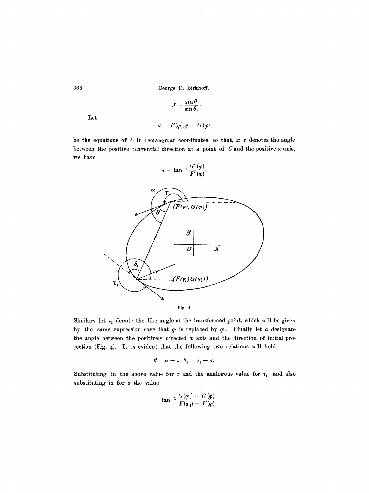$$
J=\frac{\sin\theta}{\sin\theta_1}.
$$

Let

$$
x=F(\varphi),y=G(\varphi)
$$

be the equations of C in rectangular coordinates, so that, if  $\tau$  denotes the angle between the positive tangential direction at a point of  $C$  and the positive  $x$  axis, we have





Similary let  $\tau_1$  denote the like angle at the transformed point, which will be given by the same expression save that  $\varphi$  is replaced by  $\varphi_1$ . Finally let  $\alpha$  designate the angle between the positively directed  $x$  axis and the direction of initial projection (Fig. 4). It is evident that the following two relations will hold

$$
\theta = \alpha - \iota, \; \theta_1 = \iota_1 - \alpha.
$$

Substituting in the above value for  $\tau$  and the analogous value for  $\tau_1$ , and also substituting in for  $\alpha$  the value

$$
\tan^{-1}\frac{G\left(\pmb{\varphi}_{1}\right)-G\left(\pmb{\varphi}\right)}{F(\pmb{\varphi}_{1})-F(\pmb{\varphi})}
$$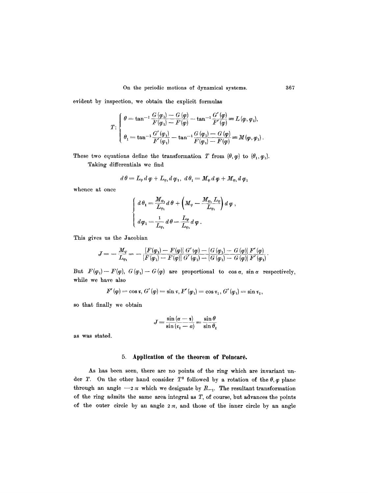evident by inspection, we obtain the explicit formulas

$$
T\colon\left\{\begin{aligned}&\theta=\tan^{-1}\frac{G\left(\boldsymbol{\mathcal{g}}_{1}\right)-G\left(\boldsymbol{\mathcal{g}}\right)}{F(\boldsymbol{\mathcal{g}}_{1})-F(\boldsymbol{\mathcal{g}})}-\tan^{-1}\frac{G'\left(\boldsymbol{\mathcal{g}}\right)}{F'\left(\boldsymbol{\mathcal{g}}\right)}&=L\left(\boldsymbol{\mathcal{g}},\boldsymbol{\mathcal{g}}_{1}\right),\\&\theta_{1}=\tan^{-1}\frac{G'\left(\boldsymbol{\mathcal{g}}_{1}\right)}{F'\left(\boldsymbol{\mathcal{g}}_{1}\right)}-\tan^{-1}\frac{G\left(\boldsymbol{\mathcal{g}}_{1}\right)-G\left(\boldsymbol{\mathcal{g}}\right)}{F\left(\boldsymbol{\mathcal{g}}_{1}\right)-F(\boldsymbol{\mathcal{g}})}&\equiv M\left(\boldsymbol{\mathcal{g}},\boldsymbol{\mathcal{g}}_{1}\right).\end{aligned}\right.
$$

These two equations define the transformation T from  $(\theta, \varphi)$  to  $(\theta_1, \varphi_1)$ .

Taking differentials we find

$$
d\theta = L_{\varphi} d\varphi + L_{\varphi_t} d\varphi_1, \ d\theta_1 = M_{\varphi} d\varphi + M_{\varphi_1} d\varphi_1
$$

whence at once

$$
\begin{cases} d\,\theta_1 = \frac{M_{\varphi_1}}{L_{\varphi_1}} d\,\theta + \left(M_{\varphi} - \frac{M_{\varphi_1} L_{\varphi}}{L_{\varphi_1}}\right) d\,\varphi , \\ d\varphi_1 = \frac{1}{L_{\varphi_1}} d\,\theta - \frac{L_{\varphi}}{L_{\varphi_1}} d\,\varphi .\end{cases}
$$

This gives us the Jacobian

$$
J=-\frac{M_{\varphi}}{L_{\varphi_1}}=-\frac{[F(\varphi_1)-F(\varphi)] G'(\varphi)-[G(\varphi_1)-G(\varphi)] F'(\varphi)}{[F(\varphi_1)-F(\varphi)] G'(\varphi_1)-[G(\varphi_1)-G(\varphi)] F'(\varphi_1)}.
$$

But  $F(\varphi_1) - F(\varphi), G(\varphi_1) - G(\varphi)$  are proportional to cos  $\alpha$ , sin  $\alpha$  respectively, while we have also

$$
F'(\varphi)=\cos\tau,\,G'(\varphi)=\sin\tau,\,F'(\varphi_1)=\cos\tau_1,\,G'(\varphi_1)=\sin\tau_1,
$$

so that finally we obtain

$$
J = \frac{\sin{(\alpha - \tau)}}{\sin{(\tau_1 - \alpha)}} = \frac{\sin{\theta}}{\sin{\theta_1}}
$$

as was stated.

# **5. Application of the theorem of Poinear6.**

As has been seen, there are no points of the ring which are invariant under T. On the other hand consider  $T^2$  followed by a rotation of the  $\theta$ ,  $\varphi$  plane through an angle  $-2\pi$  which we designate by  $R_{-1}$ . The resultant transformation of the ring admits the same area integral as T, of course, but advances the points of the outer circle by an angle  $2\pi$ , and those of the inner circle by an angle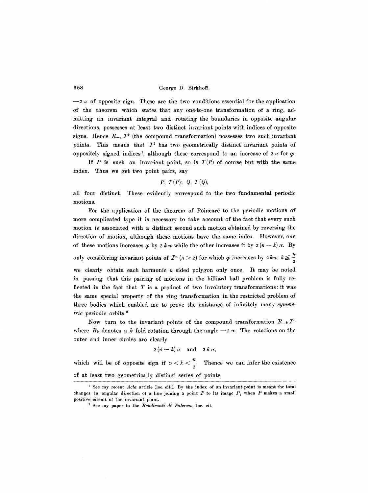$-2\pi$  of opposite sign. These are the two conditions essential for the application of the theorem which states that any one-to-one transformation of a ring, admitting an invariant integral and rotating the boundaries in opposite angular directions, possesses at least two distinct invariant points with indices of opposite signs. Hence  $R_{-1}$   $T^2$  (the compound transformation) possesses two such invariant points. This means that  $T^2$  has two geometrically distinct invariant points of oppositely signed indices<sup>1</sup>, although these correspond to an increase of  $2 \pi$  for  $\varphi$ .

If P is such an invariant point, so is  $T(P)$  of course but with the same index. Thus we get two point pairs, say

$$
P, T(P); Q, T(Q),
$$

all four distinct. These evidently correspond to the two fundamental periodic motions.

For the application of the theorem of Poincaré to the periodic motions of more complicated type it is necessary to take account of the fact that every such motion is associated with a distinct second such motion obtained by reversing the direction of motion, although these motions have the same index. However, one of these motions increases  $\varphi$  by  $2 k \pi$  while the other increases it by  $2 (n - k) \pi$ . By only considering invariant points of  $T^n$   $(n > 2)$  for which  $\varphi$  increases by  $2k\pi$ ,  $k \leq \frac{n}{2}$ we clearly obtain each harmonic  $n$  sided polygon only once. It may be noted in passing that this pairing of motions in the billiard ball problem is fully reflected in the fact that  $T$  is a product of two involutory transformations: it was the same special property of the ring transformation in the restricted problem of three bodies which enabled me to prove the existance of infinitely many *symmetric* periodic orbits.<sup>2</sup>

Now turn to the invariant points of the compound transformation  $R_{-k} T^n$ where  $R_k$  denotes a k fold rotation through the angle  $-2\pi$ . The rotations on the outer and inner circles are clearly

$$
2(n-k)\pi \quad \text{and} \quad 2k\pi,
$$

which will be of opposite sign if  $0 < k < \frac{1}{2}$ . Thence we can infer the existence of at least two geometrically distinct series of points

<sup>&</sup>lt;sup>1</sup> See my recent *Acta* article (loc. cit.). By the index of an invariant point is meant the total changes in angular direction of a line joining a point  $P$  to its image  $P_1$  when  $P$  makes a small positive circuit of the invariant point.

See my paper in the *Rendieonti di Palermo,* loe. eit.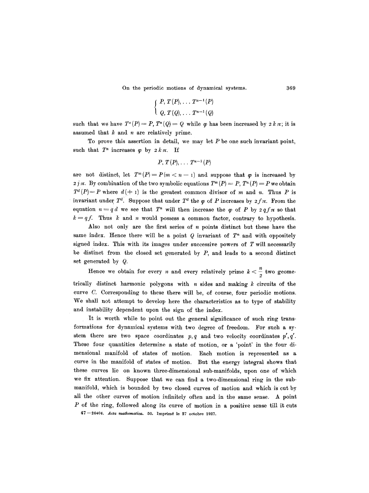On the periodic motions of dynamical systems. 369

$$
\begin{cases}\nP, T(P), \dots, T^{n-1}(P) \\
Q, T(Q), \dots, T^{n-1}(Q)\n\end{cases}
$$

such that we have  $T^n(P) = P$ ,  $T^n(Q) = Q$  while  $\varphi$  has been increased by 2 k  $\pi$ ; it is assumed that  $k$  and  $n$  are relatively prime.

To prove this assertion in detail, we may let  $P$  be one such invariant point, such that  $T^n$  increases  $\varphi$  by  $2 k \pi$ . If

$$
P, T(P), \ldots T^{n-1}(P)
$$

are not distinct, let  $T^m(P) = P(m < n - 1)$  and suppose that  $\varphi$  is increased by 2 j  $\pi$ . By combination of the two symbolic equations  $T^m(P) = P$ ,  $T^n(P) = P$  we obtain  $T<sup>d</sup>(P)=P$  where  $d(+1)$  is the greatest common divisor of m and n. Thus P is invariant under  $T^d$ . Suppose that under  $T^d$  the  $\varphi$  of P increases by  $2f\pi$ . From the equation  $n = q d$  we see that  $T<sup>n</sup>$  will then increase the  $\varphi$  of P by 2  $q f \pi$  so that  $k = qf$ . Thus k and n would possess a common factor, contrary to hypothesis.

Also not only are the first series of  $n$  points distinct but these have the same index. Hence there will be a point  $Q$  invariant of  $T<sup>n</sup>$  and with oppositely signed index. This with its images under successive powers of  $T$  will necessarily be distinct from the closed set generated by  $P$ , and leads to a second distinct set generated by  $Q$ .

Hence we obtain for every *n* and every relatively prime  $k < \frac{\pi}{2}$  two geometrically distinct harmonic polygons with  $n$  sides and making  $k$  circuits of the curve C. Corresponding to these there will be, of course, four periodic motions. We shall not attempt to develop here the characteristics as to type of stability and instability dependent upon the sign of the index.

It is worth while to point out the general significance of such ring transformations for dynamical systems with two degree of freedom. For such a system there are two space coordinates  $p, q$  and two velocity coordinates  $p', q'$ . These four quantities determine a state of motion, or a 'point' in the four dimensional manifold of states of motion. Each motion is represented as a curve in the manifold of states of motion. But the energy integral shows that these curves lie on known three-dimensional sub-manifolds, upon one of which we fix attention. Suppose that we can find a two-dimensional ring in the submanifold, which is bounded by two closed curves of motion and which is cut by all the other curves of motion infinitely often and in the same sense. A point P of the ring, followed along its curve of motion in a positive sense till it cuts 47-26404. *Acta mathematic, a.* 50. Imprim6 le 27 octobre 1927.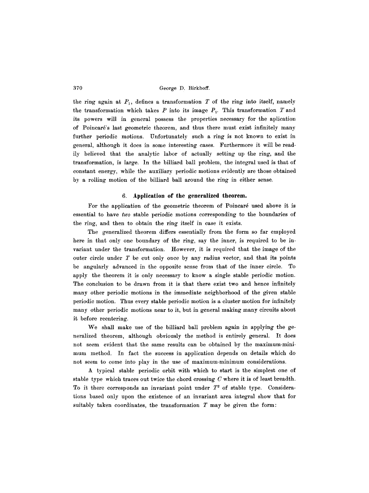the ring again at  $P_1$ , defines a transformation T of the ring into itself, namely the transformation which takes  $P$  into its image  $P_1$ . This transformation  $T$  and its powers will in general possess the properties necessary for the aplication of Poincaré's last geometric theorem, and thus there must exist infinitely many further periodic motions. Unfortunately such a ring is not known to exist in general, although it does in some interesting cases. Furthermore it will be readily believed that the analytic labor of actually setting up the ring, and the transformation, is large. In the billiard ball problem, the integral used is that of constant energy, while the auxiliary periodic motions evidently are those obtained by a rolling motion of the billiard ball around the ring in either sense.

# **6. Application of the generalized theorem.**

For the application of the geometric theorem of Poincaré used above it is essential to have *two* stable periodic motions corresponding to the boundaries of the ring, and then to obtain the ring itself in case it exists.

The generalized theorem differs essentially from the form so far employed here in that only one boundary of the ring, say the inner, is required to be invariant under the transformation. However, it is required that the image of the outer circle under  $T$  be cut only once by any radius vector, and that its points be angularly advanced in the opposite sense from that of the inner circle. To apply the theorem it is only necessary to know a single stable periodic motion. The conclusion to be drawn from it is that there exist two and hence infinitely many other periodic motions in the immediate neighborhood of the given stable periodic motion. Thus every stable periodic motion is a cluster motion for infinitely many other periodic motions near to it, but in general making many circuits about it before reentering.

We shall make use of the billiard ball problem again in applying the generalized theorem, although obviously the method is entirely general. It does not seem evident that the same results can be obtained by the maximum-minimum method. In fact the success in application depends on details which do not seem to come into play in the use of maximum-minimum considerations.

A typical stable periodic orbit with which to start is the simplest one of stable type which traces out twice the chord crossing  $C$  where it is of least breadth. To it there corresponds an invariant point under  $T^2$  of stable type. Considerations based only upon the existence of an invariant area integral show that for suitably taken coordinates, the transformation  $T$  may be given the form: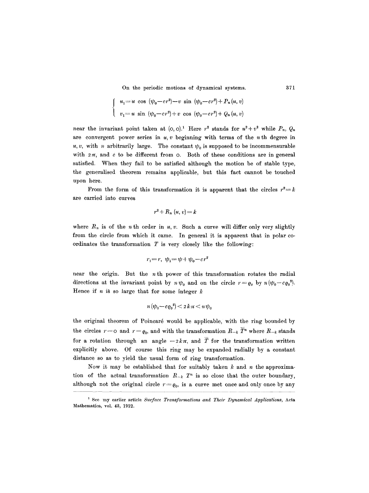On the periodic motions of dynamical systems.

$$
\begin{cases}\nu_1 = u \cos (\psi_0 - cr^2) - v \sin (\psi_0 - cr^2) + P_n(u, v) \\
v_1 = u \sin (\psi_0 - cr^2) + v \cos (\psi_0 - cr^2) + Q_n(u, v)\n\end{cases}
$$

near the invariant point taken at  $(0, 0)^1$ . Here  $r^2$  stands for  $u^2 + v^2$  while  $P_n$ ,  $Q_n$ are convergent power series in  $u, v$  beginning with terms of the  $n$  th degree in u, v, with n arbitrarily large. The constant  $\psi_0$  is supposed to be incommensurable with  $2\pi$ , and c to be different from o. Both of these conditions are in general satisfied. When they fail to be satisfied although the motion be of stable type, the generalised theorem remains applicable, but this fact cannot be touched upon here.

From the form of this transformation it is apparent that the circles  $r^2 = k$ are carried into curves

$$
r^2 + R_n(u, v) = k
$$

where  $R_n$  is of the n th order in u, v. Such a curve will differ only very slightly from the circle from which it came. In general it is apparent that in polar coordinates the transformation  $T$  is very closely like the following:

$$
r_1 = r, \ \psi_1 = \psi + \psi_0 - c r^2
$$

near the origin. But the  $n$ th power of this transformation rotates the radial directions at the invariant point by  $n\psi_0$  and on the circle  $r=e_0$  by  $n(\psi_0-c\varrho_0^2)$ . Hence if  $n$  is so large that for some integer  $k$ 

$$
n(\psi_0 - c\varrho_0^2) < 2k\pi < n\psi_0
$$

the original theorem of Poincaré would be applicable, with the ring bounded by the circles  $r = o$  and  $r = \varrho_0$ , and with the transformation  $R_{-k}$   $\overline{T}^n$  where  $R_{-k}$  stands for a rotation through an angle  $-2k\pi$ , and  $\overline{T}$  for the transformation written explicitly above. Of course this ring may be expanded radially by a constant distance so as to yield the usual form of ring transformation.

Now it may be established that for suitably taken  $k$  and  $n$  the approximation of the actual transformation  $R_{-k}$   $T^n$  is so close that the outer boundary, although not the original circle  $r = \varrho_0$ , is a curve met once and only once by any

371

<sup>&</sup>lt;sup>1</sup> See my earlier article *Surface Transformations and Their Dynamical Applications*, Acta Mathematica, voL 43, 1922.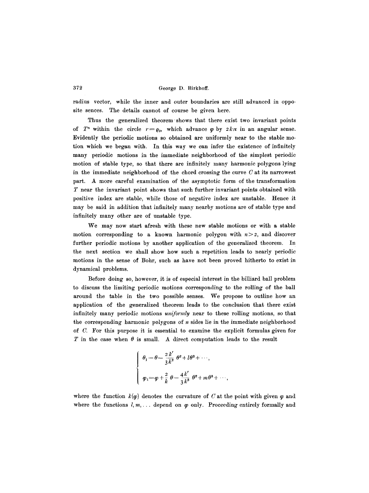radius vector, while the inner and outer boundaries are still advanced in opposite sences. The details cannot of course be given here.

Thus the generalized theorem shows that there exist two invariant points of  $T^n$  within the circle  $r = \rho_0$ , which advance  $\varphi$  by  $2k\pi$  in an angular sense. Evidently the periodic motions so obtained are uniformly near to the stable motion which we began with. In this way we can infer the existence of infinitely many periodic motions in the immediate neighborhood of the simplest periodic motion of stable type, so that there are infinitely many harmonic polygons lying in the immediate neighborhood of the chord crossing the curve  $C$  at its narrowest part. A more careful examination of the asymptotic form of the transformation T near the invariant point shows that such further invariant points obtained with positive index are stable, while those of negative index are unstable. Hence it may be said in addition that infinitely many nearby motions are of stable type and infinitely many other are of unstable type.

We may now start afresh with these new stable motions or with a stable motion corresponding to a known harmonic polygon with  $n>2$ , and discover further periodic motions by another application of the generalized theorem. the next section we shall show how such a repetition leads to nearly periodic motions in the sense of Bohr, such as have not been proved hitherto to exist in dynamical problems.

Before doing so, however, it is of especial interest in the billiard ball problem to discuss the limiting periodic motions corresponding to the rolling of the bull around the table in the two possible senses. We propose to outline how an application of the generalized theorem leads to the conclusion that there exist infinitely many periodic motions *umformly* near to these rolling motions, so that the corresponding harmonic polygons of  $n$  sides lie in the immediate neighborhood of C. For this purpose it is essential to examine the explicit formulas given for T in the case when  $\theta$  is small. A direct computation leads to the result

$$
\begin{cases}\n\theta_1 = \theta - \frac{2 k'}{3 k^2} \theta^2 + l \theta^3 + \cdots, \\
\varphi_1 = \varphi + \frac{2}{k} \theta - \frac{4 k'}{3 k^3} \theta^2 + m \theta^3 + \cdots,\n\end{cases}
$$

where the function  $k(\varphi)$  denotes the curvature of C at the point with given  $\varphi$  and where the functions  $l, m, \ldots$  depend on  $\varphi$  only. Proceeding entirely formally and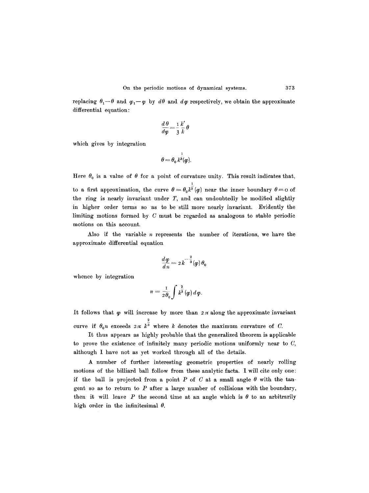replacing  $\theta_1-\theta$  and  $\varphi_1-\varphi$  by  $d\theta$  and  $d\varphi$  respectively, we obtain the approximate differential equation:

$$
\frac{d\,\theta}{d\varphi} = \frac{1}{3}\frac{k'}{k}\theta
$$

which gives by integration

$$
\theta = \theta_0 \, k^{\frac{1}{3}}(\varphi).
$$

Here  $\theta_0$  is a value of  $\theta$  for a point of curvature unity. This result indicates that, 1 to a first approximation, the curve  $\theta = \theta_0 k^3(\varphi)$  near the inner boundary  $\theta = \infty$  of the ring is nearly invariant under  $T$ , and can undoubtedly be modified slightly in higher order terms so 'as to be still more nearly invariant. Evidently the limiting motions formed by  $C$  must be regarded as analogous to stable periodic motions on this account.

Also if the variable n represents the number of iterations, we have the approximate differential equation

$$
\frac{d\varphi}{dn} = 2k^{-\frac{2}{3}}(\varphi)\,\theta_0
$$

whence by integration

$$
n=\frac{1}{2\theta_0}\int k^{\frac{2}{3}}(\varphi)\,d\varphi.
$$

It follows that  $\varphi$  will increase by more than  $2\pi$  along the approximate invariant 2 curve if  $\theta_0 n$  exceeds  $2\pi k^3$  where k denotes the maximum curvature of C.

It thus appears as highly probable that the generalized theorem is applicable to prove the existence of infinitely many periodic motions uniformly near to  $C$ , although I have not as yet worked through all of the details.

A number of further interesting geometric properties of nearly rolling motions of the billiard ball follow from these analytic facta. I will cite only one: if the ball is projected from a point P of C at a small angle  $\theta$  with the tangent so as to return to P after a large number of collisions with the boundary, then it will leave P the second time at an angle which is  $\theta$  to an arbitrarily high order in the infinitesimal  $\theta$ .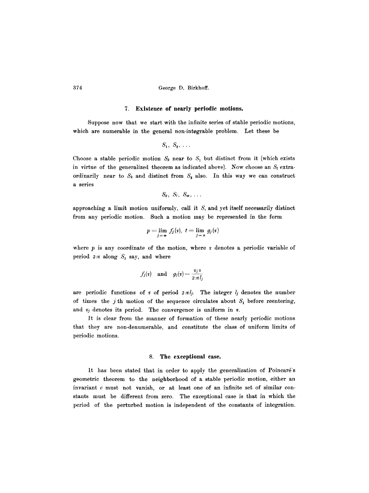#### **7. Existence of nearly periodic motions.**

Suppose now that we start with the infinite series of stable periodic motions, which are numerable in the general non-integrable problem. Let these be

$$
S_1, S_2, \ldots
$$

Choose a stable periodic motion  $S_k$  near to  $S_1$  but distinct from it (which exists in virtue of the generalized theorem as indicated above). Now choose an  $S_l$  extraordinarily near to  $S_k$  and distinct from  $S_2$  also. In this way we can construct a series

$$
S_k, S_l, S_m, \ldots
$$

approaching a limit motion uniformly, call it  $S$ , and yet itself necessarily distinct from any periodic motion. Such a motion may be represented in the form

$$
p=\lim_{j=\infty} f_j(r),\ t=\lim_{j=\infty} g_j(r)
$$

where  $p$  is any coordinate of the motion, where  $\tau$  denotes a periodic variable of period  $2\pi$  along  $S_1$  say, and where

$$
f_j(\tau)
$$
 and  $g_j(\tau) - \frac{\tau_j \tau}{2 \pi l_j}$ 

are periodic functions of  $\tau$  of period  $2\pi l_j$ . The integer  $l_j$  denotes the number of times the j th motion of the sequence circulates about  $S_1$  before reentering, and  $\tau_j$  denotes its period. The convergence is uniform in  $\tau$ .

It is clear from the manner of formation of these nearly periodic motions that they are non-denumerable, and constitute the class of uniform limits of periodic motions.

## 8. **The exceptional** case.

It has been stated that in order to apply the generalization of Poincar6's geometric theorem to the neighborhood of a stable periodic motion, either an invariant c must not vanish, or at least one of an infinite set of similar constants must be different from zero. The exceptional case is that in which the period of the perturbed motion is independent of the constants of integration.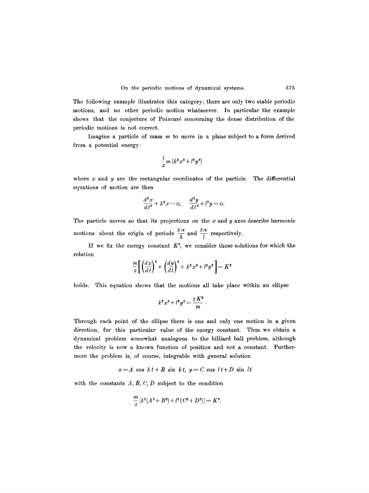The following example illustrates this category; there are only two stable periodic motions, and no other periodic motion whatsoever. In particular the example shows that the conjecture of Poincaré concerning the dense distribution of the periodic motions is not correct.

Imagine a particle of mass  $m$  to move in a plane subject to a force derived from a potential energy:

$$
\frac{1}{2}\,m\,\left(k^{2}x^{2}+l^{2}y^{2}\right)
$$

where  $x$  and  $y$  are the rectangular coordinates of the particle. The differential equations of motion are then

$$
\frac{d^2x}{dt^2} + k^2x = 0, \quad \frac{d^2y}{dt^2} + l^2y = 0.
$$

The particle moves so that its projections on the  $x$  and  $y$  axes describe harmonic motions about the origin of periods  $\frac{2\pi}{k}$  and  $\frac{2\pi}{l}$  respectively.

If we fix the energy constant  $K^2$ , we consider those solutions for which the relation

$$
\frac{m}{2}\left[\left(\frac{dx}{dt}\right)^2 + \left(\frac{dy}{dt}\right)^2 + k^2x^2 + l^2y^2\right] = K^2
$$

holds. This equation shows that the motions all take place within an ellipse

$$
k^2x^2+l^2y^2=\frac{2K^2}{m}.
$$

Through each point of the ellipse there is one and only one motion in a given direction, for this particular value of the energy constant. Thus we obtain a dynamical problem somewhat analogous to the billiard bali problem, although the velocity is now a known function of position and not a constant. Furthermore the problem is, of course, integrable with general solution

$$
x = A \cos kt + B \sin kt, y = C \cos lt + D \sin lt
$$

with the constants  $A, B, C, D$  subject to the condition

$$
\frac{m}{2}[k^2(A^2+B^2)+l^2(C^2+D^2)]=K^2.
$$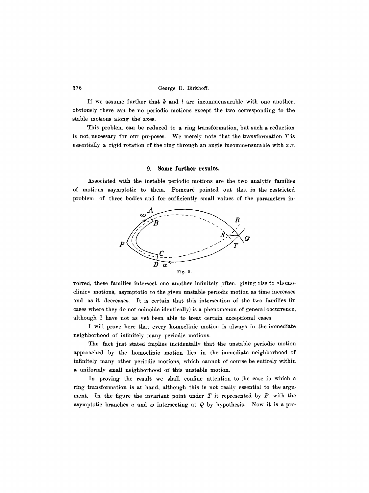If we assume further that  $k$  and  $l$  are incommensurable with one another, obviously there can be no periodic motions except the two corresponding to the stable motions along the axes.

This problem can be reduced to a ring transformation, but such a reduction is not necessary for our purposes. We merely note that the transformation  $T$  is essentially a rigid rotation of the ring through an angle incommensurable with  $2\pi$ .

### **9. Some further results.**

Associated with the instable periodic motions are the two analytic families of motions asymptotic to them. Poincar6 pointed out that in the restricted problem of three bodies and for sufficiently small values of the parameters in-



volved, these families intersect one another infinitely often, giving rise to  $*homo$ clinic<sup>,</sup> motions, asymptotic to the given unstable periodic motion as time increases and as it decreases. It is certain that this intersection of the two families (in cases where they do not coincide identically) is a phenomenon of general oecurrenee, although I have not as yet been able to treat certain exceptional cases.

I will prove here that every homoclinic motion is always in the immediate neighborhood of infinitely many periodic motions.

The fact just stated implies incidentally that the unstable periodic motion approached by the homoclinie motion lies in the immediate neighborhood of infinitely many other periodic motions, which cannot of course be entirely within a uniformly small neighborhood of this unstable motion.

In proving the result we shall confine attention to the case in which a ring transformation is at hand, although this is not really essential to the argument. In the figure the invariant point under  $T$  it represented by  $P$ , with the asymptotic branches  $\alpha$  and  $\omega$  intersecting at Q by hypothesis. Now it is a pro-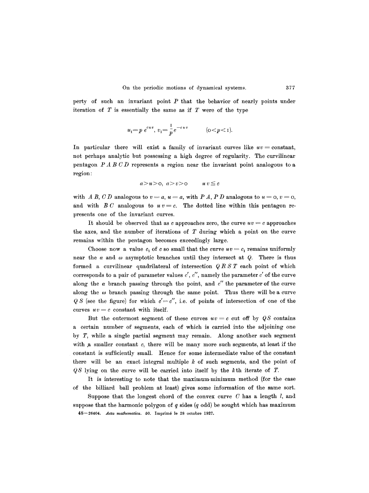perty of such an invariant point  $P$  that the behavior of nearly points under iteration of  $T$  is essentially the same as if  $T$  were of the type

$$
u_1=p e^{cuv}, v_1=\frac{1}{p}e^{-cuv} \qquad \qquad (\alpha < p < 1).
$$

In particular there will exist a family of invariant curves like  $uv = constant$ , not perhaps analytic but possessing a high degree of regularity. The curvilinear pentagon *P A B CD* represents a region near the invariant point analogous to a region :

$$
a > u > 0, \ a > v > 0 \qquad u \, v \leq c
$$

with A B, C D analogous to  $v = a$ ,  $u = a$ , with P A, P D analogous to  $u = 0$ ,  $v = 0$ , and with BC analogous to  $u v = c$ . The dotted line within this pentagon represents one of the invariant curves.

It should be observed that as c approaches zero, the curve  $uv = c$  approaches the axes, and the number of iterations of T during which a point on the curve remains within the pentagon becomes exceedingly large.

Choose now a value  $c_1$  of c so small that the curve  $uv = c_1$  remains uniformly near the  $\alpha$  and  $\omega$  asymptotic branches until they intersect at  $Q$ . There is thus formed a curvilinear quadrilateral of intersection  $\overline{Q} R S T$  each point of which corresponds to a pair of parameter values  $c'$ ,  $c''$ , namely the parameter  $c'$  of the curve along the  $\alpha$  branch passing through the point, and  $c''$  the parameter of the curve along the  $\omega$  branch passing through the same point. Thus there will be a curve  $Q S$  (see the figure) for which  $c' = c''$ , i.e. of points of intersection of one of the curves  $uv = c$  constant with itself.

But the outermost segment of these curves  $uv = c$  cut off by  $QS$  contains a certain number of segments, each of which is carried into the adjoining one by T, while a single partial segment may remain. Along another such segment with a smaller constant  $c$ , there will be many more such segments, at least if the constant is sufficiently small. Hence for some intermediate value of the constant there will be an exact integral multiple  $k$  of such segments, and the point of  $\overline{QS}$  lying on the curve will be carried into itself by the  $k$ <sup>th</sup> iterate of  $T$ .

It is interesting to note that the maximum-minimum method (for the case of the billiard ball problem at least) gives some information of the same sort.

Suppose that the longest chord of the convex curve  $C$  has a length  $l$ , and suppose that the harmonic polygon of  $q$  sides  $(q$  odd) be sought which has maximum 48--26404. *Acta mathematica.* 50. Imprim6 le 28 octobre 1927.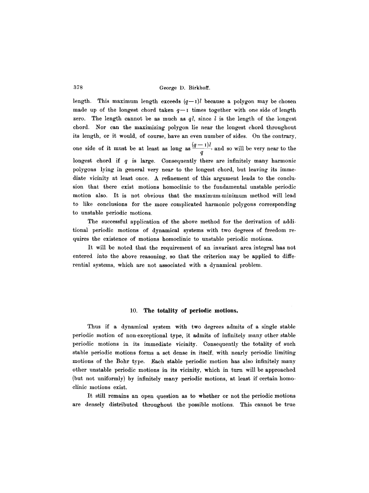length. This maximum length exceeds  $(q-1)l$  because a polygon may be chosen made up of the longest chord taken  $q-1$  times together with one side of length zero. The length cannot be as much as  $q\ell$ , since  $\ell$  is the length of the longest chord. Nor can the maximizing polygon lie near the longest chord throughout its length, or it would, of course, have an even number of sides. On the Contrary, one side of it must be at least as long as  $\frac{q-1}{q}$ , and so will be very near to the longest chord if  $q$  is large. Consequently there are infinitely many harmonic polygons lying in general very near to the longest chord, but leaving its immediate vicinity at least once. A refinement of this argument leads to the conclusion that there exist motions homoclinic to the fundamental unstable periodic motion also. It is not obvious that the maximum-minimum method will lead to like conclusions for the more complicated harmonic polygons corresponding to unstable periodic motions.

The successful application of the above method for the derivation of additional periodic motions of dynamical systems with two degrees of freedom requires the existence of motions homoclinic to unstable periodic motions.

It will be noted that the requirement of an invariant area integral has not entered into the above reasoning, so that the criterion may be applied to differential systems, which are not associated with a dynamical problem.

### 10. The totality of **periodic motions.**

Thus if a dynamical system with two degrees admits of a single stable periodic motion of non-exceptional type, it admits of infinitely many other stable periodic motions in its immediate vicinity. Consequently the totality of such stable periodic motions forms a set dense in itself, with nearly periodic limiting motions of the Bohr type. Each stable periodic motion has also infinitely many other unstable periodic motions in its vicinity, which in turn will be approached (but not uniformly) by infinitely many periodic motions, at least if certain homoclinic motions exist.

It still remains an open question as to whether or not the periodic motions are densely distributed throughout the possible motions. This cannot be true